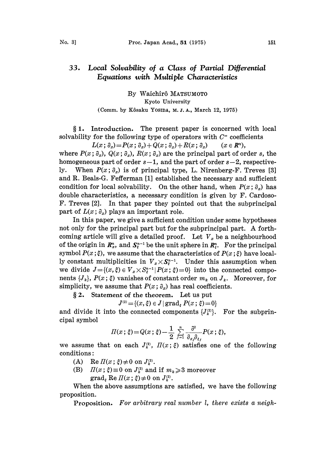## Local Solvability of a Class of Partial Differential 33. Equations with Multiple Characteristics

By Waichirô MATSUMOTO Kyoto University (Comm. by Kôsaku Yosida, M.J.A., March 12, 1975)

 $§ 1.$  Introduction. The present paper is concerned with local solvability for the following type of operators with  $C^{\infty}$  coefficients

 $L(x; \partial_x) = P(x; \partial_x) + Q(x; \partial_x) + R(x; \partial_x)$  ( $x \in \mathbb{R}^n$ ), where  $P(x; \partial_x)$ ,  $Q(x; \partial_x)$ ,  $R(x; \partial_x)$  are the principal part of order s, the homogeneous part of order  $s-1$ , and the part of order  $s-2$ , respectively. When  $P(x; \partial_x)$  is of principal type, L. Nirenberg-F. Treves [3] and R. Beals-G. Fefferman [1] established the necessary and sufficient condition for local solvability. On the other hand, when  $P(x; \partial_x)$  has double characteristics, a necessary condition is given by F. Cardoso-F. Treves [2]. In that paper they pointed out that the subprincipal part of  $L(x; \partial_x)$  plays an important role.

In this paper, we give a sufficient condition under some hypotheses not only for the principal part but for the subprincipal part. A forthcoming article will give a detailed proof. Let  $V_x$  be a neighbourhood of the origin in  $\mathbb{R}_x^n$ , and  $\mathbb{S}_\xi^{n-1}$  be the unit sphere in  $\mathbb{R}_\xi^n$ . For the principal of the origin in  $\pmb{R}_x^n$ , and  $\pmb{S}_i^{n-1}$  be the unit sphere in  $\pmb{R}_i^n$ . For the principal<br>symbol  $P(x\,;\xi)$ , we assume that the characteristics of  $P(x\,;\xi)$  have locally constant multiplicities in  $V_x \times S^{n-1}_x$ . Under this assumption when we divide  $J = \{(x, \xi) \in V_x \times S_{\xi}^{n-1} | P(x; \xi) = 0\}$  into the connected components  $\{J_k\}$ ,  $P(x; \xi)$  vanishes of constant order  $m_k$  on  $J_k$ . Moreover, for simplicity, we assume that  $P(x; \partial_x)$  has real coefficients.

2. Statement of the theorem. Let us put

$$
J^{\scriptscriptstyle{\mathrm{(2)}}}\!=\!\{(x,\xi)\in J\,|\,\mathrm{grad}_\xi\,P(x\,;\,\xi)\!=\!0\}
$$

and divide it into the connected components  $\{J_k^{(2)}\}$ . For the subprincipal symbol

$$
\Pi(x;\,\xi) = Q(x;\,\xi) - \frac{1}{2} \sum_{j=1}^n \frac{\partial^2}{\partial_{x_j} \partial_{\xi_j}} P(x;\,\xi),
$$

we assume that on each  $J_k^{(2)}$ ,  $\Pi(x;\xi)$  satisfies one of the following conditions:

- (A) Re  $\Pi(x; \xi) \neq 0$  on  $J_k^{(2)}$ .<br>(B)  $\Pi(x; \xi) \equiv 0$  on  $J_k^{(2)}$  and
- (B)  $\Pi(x; \xi) \equiv 0$  on  $J_k^{\infty}$ .<br>  $\text{(B)}$   $\Pi(x; \xi) \equiv 0$  on  $J_k^{\infty}$  and if  $m_k \ge 3$  moreover<br>  $\text{grad}_{\xi}$  Re  $\Pi(x; \xi) \ne 0$  on  $J_k^{\infty}$ .

When the above assumptions are satisfied, we have the following proposition.

Proposition. For arbitrary real number l, there exists a neigh-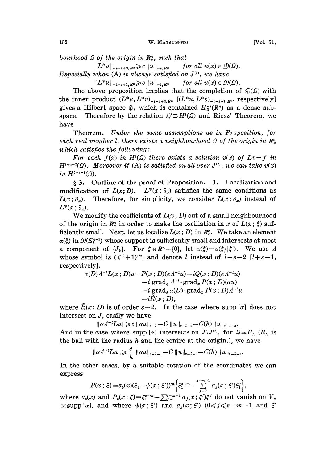bourhood  $\Omega$  of the origin in  $\mathbb{R}_x^n$ , such that

 $||L^*u||_{-l-s+2, R^n} \geq c ||u||_{-l, R^n}$  for all  $u(x) \in \mathcal{D}(\Omega)$ . Especially when  $(A)$  is always satisfied on  $J^{(2)}$ , we have

 $||L^*u||_{-l-s+1, R^n} \ge c ||u||_{-l, R^n}$  for all  $u(x) \in \mathcal{D}(\Omega)$ .

The above proposition implies that the completion of  $\mathcal{D}(\Omega)$  with the inner product  $(L^*u, L^*v)_{-l-*+2,R^n}$   $[(L^*u, L^*v)_{-l-*+1,R^n}]$ , respectively] gives a Hilbert space  $\tilde{\varphi}$ , which is contained  $H_{\overline{\varphi}}(R^n)$  as a dense subspace. Therefore by the relation  $\tilde{\psi}' \supset H^1(\Omega)$  and Riesz' Theorem, we have

Theorem. Under the same assumptions as in Proposition, for each real number l, there exists a neighbourhood  $\Omega$  of the origin in  $\mathbb{R}^n$ . which satisfies the following:

For each  $f(x)$  in  $H^1(\Omega)$  there exists a solution  $v(x)$  of  $Lv = f$  in  $H^{l+s-2}(\Omega)$ . Moreover if (A) is satisfied on all over  $J^{(2)}$ , we can take  $v(x)$ in  $H^{l+s-1}(\Omega)$ .

§ 3. Outline of the proof of Proposition. 1. Localization and modification of  $L(x;D)$ .  $L^*(x; \partial_x)$  satisfies the same conditions as  $L(x; \partial_x)$ . Therefore, for simplicity, we consider  $L(x; \partial_x)$  instead of  $L^*(x; \partial_x)$ .

We modify the coefficients of  $L(x; D)$  out of a small neighbourhood of the origin in  $\mathbb{R}_x^n$  in order to make the oscillation in x of  $L(x;\xi)$  sufficiently small. Next, let us localize  $L(x; D)$  in  $\mathbb{R}^n_k$ . We take an element  $\alpha(\xi)$  in  $\mathcal{D}(\mathbf{S}_{\xi}^{n-1})$  whose support is sufficiently small and intersects at most a component of  $\{J_k\}$ . For  $\xi \in \mathbb{R}^n - \{0\}$ , let  $\alpha(\xi) = \alpha(\xi/|\xi|)$ . We use A whose symbol is  $(|\xi|^2+1)^{1/2}$ , and denote l instead of  $l+s-2$  [ $l+s-1$ , respectively].

$$
\alpha(D) \Lambda^{-1} L(x\,;D) u = P(x\,;D) (\alpha \Lambda^{-1} u) - i Q(x\,;D) (\alpha \Lambda^{-1} u) \\ - i \operatorname{grad}_{\varepsilon} \Lambda^{-1} \cdot \operatorname{grad}_x P(x\,;D) (\alpha u) \\ - i \operatorname{grad}_{\varepsilon} \alpha(D) \cdot \operatorname{grad}_x P(x\,;D) \Lambda^{-1} u \\ - i \widetilde{R}(x\,;D),
$$

where  $\tilde{R}(x; D)$  is of order  $s-2$ . In the case where supp [a] does not intersect on J, easily we have

 $\|\alpha A^{-1}Lu\|\geqslant c\|\alpha u\|_{s-l}-C\|u\|_{s-l-2}-C(h)\|u\|_{s-l-3}.$ And in the case where supp  $[\alpha]$  intersects on  $J\setminus J^{(2)}$ , for  $\Omega = B_n$  ( $B_n$  is the ball with the radius  $h$  and the centre at the origin.), we have

$$
\|\alpha A^{-l}Lu\|\geqslant \frac{c}{h}\|\alpha u\|_{s-l-1}-C\|u\|_{s-l-2}-C(h)\|u\|_{s-l-3}.
$$

In the other cases, by a suitable rotation of the coordinates we can express

$$
P(x;\xi) = a_0(x)(\xi_1 - \psi(x;\xi'))^m \Big\{ \xi_1^{s-m} - \sum_{j=0}^{s-m-1} a_j(x;\xi') \xi_j^j \Big\}.
$$

where  $a_0(x)$  and  $P_0(x; \xi) \equiv \xi_1^{s-m} - \sum_{j=0}^{s-m-1} a_j(x; \xi') \xi'_1$  do not vanish on  $V_x$  $\times$ supp [a], and where  $\psi(x; \xi')$  and  $a_j(x; \xi')$  ( $0 \leq j \leq s-m-1$  and  $\xi'$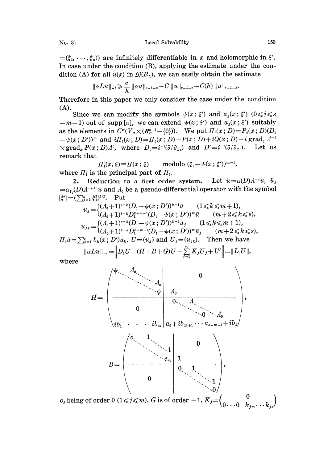$=(\xi_2,\dots,\xi_n)$  are infinitely differentiable in x and holomorphic in  $\xi'$ . In case under the condition (B), applying the estimate under the condition (A) for all  $u(x)$  in  $\mathcal{D}(B_n)$ , we can easily obtain the estimate

$$
\|\alpha Lu\|_{-l} \geqslant \frac{c}{h} \|\alpha u\|_{s-l-2} - C \|u\|_{s-l-2} - C(h) \|u\|_{s-l-3}.
$$

Therefore in this paper we only consider the case under the condition  $(A).$ 

Since we can modify the symbols  $\psi(x;\xi')$  and  $a_j(x;\xi')$   $(0\leq j\leq s)$  $-m-1$ ) out of supp [ $\alpha$ ], we can extend  $\psi(x;\xi')$  and  $a_j(x;\xi')$  suitably as the elements in  $C^{\infty}(V_x\times (R^{n-1}_{\xi'})-(0))$ . We put  $\Pi_0(x;D)=P_0(x;D)(D_1)$  $-\psi(x; D')^m$  and  $i\pi_1(x; D) = \pi_0(x; D) - P(x; D) + iQ(x; D) + i\operatorname{grad}_{\xi} A^{-1}$  $\times grad_x P(x; D)A^t$ , where  $D_1=i^{-1}(\partial/\partial_{x_1})$  and  $D'=i^{-1}(\partial/\partial_{x_1})$ . Let us remark that

modulo  $(\xi_1 - \psi(x; \xi'))^{m-1}$ ,  $\Pi_1^0(x,\xi) \equiv \Pi(x;\xi)$ where  $\mathbb{H}_1^0$  is the principal part of  $\mathbb{H}_1$ .

2. Reduction to a first order system. Let  $\tilde{u} = \alpha(D) \Lambda^{-1} u$ ,  $\tilde{u}_j$  $=\alpha_{\epsilon_j}(D) \Lambda^{-l+1}u$  and  $\Lambda_0$  be a pseudo-differential operator with the symbol  $|\xi'| = (\sum_{j=2}^n \xi_j^2)^{1/2}$ . Put

$$
u_k = \begin{cases} (\Lambda_0 + 1)^{s-k} (D_1 - \psi(x; D'))^{k-1} \tilde{u} & (1 \le k \le m+1), \\ (\Lambda_0 + 1)^{s-k} D_1^{k-m-1} (D_1 - \psi(x; D'))^m \tilde{u} & (m+2 \le k \le s), \end{cases}
$$
  

$$
u_{jk} = \begin{cases} (\Lambda_0 + 1)^{s-k} (D_1 - \psi(x; D'))^{k-1} \tilde{u}_j & (1 \le k \le m+1), \\ (\Lambda_0 + 1)^{s-k} D_1^{k-m-1} (D_1 - \psi(x; D'))^m \tilde{u}_j & (m+2 \le k \le s), \end{cases}
$$
  

$$
\Pi_1 \tilde{u} = \sum_{k=1}^s b_k(x; D') u_k, U = (u_k) \text{ and } U_j = (u_{jk}). \text{ Then we have}
$$
  

$$
\|\alpha L u\|_{L^1} = \|D_1 U - (H + B + G) U - \sum_{k=1}^s K_k U_{kj} + U' \| = \|L_k U\|_{L^1}.
$$

$$
\|\alpha Lu\|_{-l}=\Big\|D_1U-(H+B+G)U-\sum_{j=1}^n K_jU_j+U'\Big\|=\|L_0U\|,
$$

where



 $c_j$  being of order 0 (1 $\leqslant j \leqslant m$ ), G is of order  $-1$ ,  $K_j =$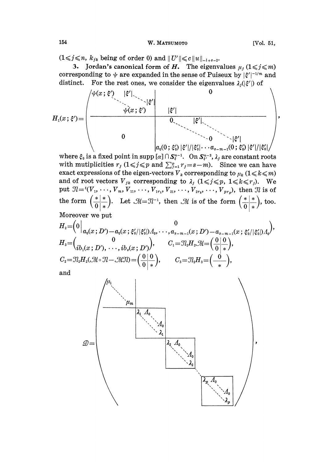$(1 \leq i \leq n, k_{jk}$  being of order 0) and  $||U'|| \leq c||u||_{-l+s-2}$ .

3. Jordan's canonical form of H. The eigenvalues  $\mu_j$  ( $1 \leq j \leq m$ ) corresponding to  $\psi$  are expanded in the sense of Puiseux by  $|\xi'|^{-1/m}$  and distinct. For the rest ones, we consider the eigenvalues  $\lambda_i(|\xi'|)$  of



where  $\xi_0$  is a fixed point in supp  $[\alpha] \cap S_{\xi}^{n-1}$ . On  $S_{\xi'}^{n-2}$ ,  $\lambda_j$  are constant roots with mutiplicities  $r_j$  ( $1 \leq j \leq p$  and  $\sum_{j=1}^p r_j = s-m$ ). Since we can have exact expressions of the eigen-vectors  $V_k$  corresponding to  $\mu_k$  ( $1 \leq k \leq m$ ) and of root vectors  $V_{jk}$  corresponding to  $\lambda_j$   $(1 \leq j \leq p, 1 \leq k \leq r_j)$ . We put  $\mathcal{I} = {^t(V_1, \ldots, V_m, V_{11}, \ldots, V_{1r_1}, V_{21}, \ldots, V_{2r_2}, \ldots, V_{pr_p})}$ , then  $\mathcal{I}l$  is of the form  $\left(\frac{*}{0}\right)^{*}$ . Let  $\mathcal{M} = \mathcal{N}^{-1}$ , then  $\mathcal{M}$  is of the form  $\left(\frac{*}{0}\right)^{*}$ , too.

Moreover we put

$$
H_{2} = \begin{pmatrix} 0 & 0 & 0 \\ a_{0}(x \,;\, D') - a_{0}(x \,;\, \xi'_{0}/|\xi'_{0}|) \varLambda_{0}, \cdots, \varLambda_{s-m-1}(x \,;\, D') - a_{s-m-1}(x \,;\, \xi'_{0}/|\xi'_{0}|) \varLambda_{0} \end{pmatrix}, \\ H_{3} = \begin{pmatrix} 0 & 0 \\ ib_{1}(x \,;\, D'), \cdots, ib_{s}(x \,;\, D') \end{pmatrix}, \qquad C_{1} = \mathcal{I}_{2}H_{2} \mathcal{M} = \begin{pmatrix} 0 & 0 \\ 0 & \ast \end{pmatrix}, \\ C_{2} = \mathcal{I}_{2}H_{2}(\mathcal{M} \circ \mathcal{I} - \mathcal{M} \mathcal{I} \mathcal{I}) = \begin{pmatrix} 0 & 0 \\ 0 & \ast \end{pmatrix}, \qquad C_{3} = \mathcal{I}_{2}H_{3} = \begin{pmatrix} 0 & 0 \\ \frac{\pi}{2} & \pi \end{pmatrix}, \\ \text{and}
$$

and